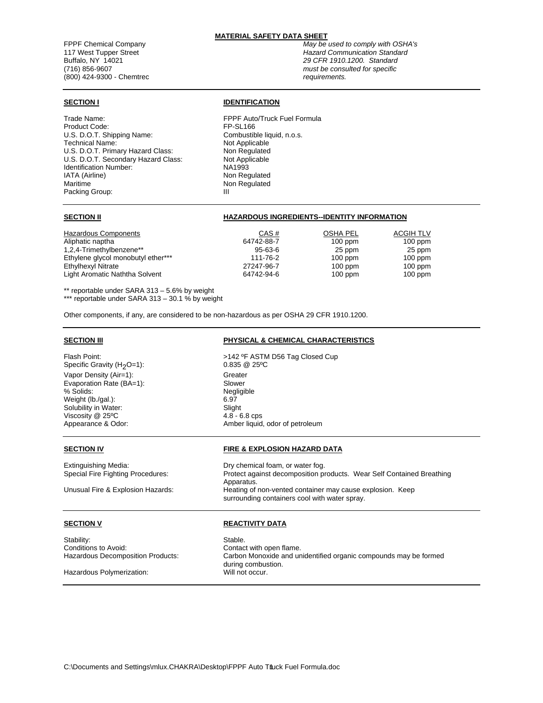## **MATERIAL SAFETY DATA SHEET**

Buffalo, NY 14021 *29 CFR 1910.1200. Standard* (716) 856-9607 *must be consulted for specific* (800) 424-9300 - Chemtrec

Trade Name: FPPF Auto/Truck Fuel Formula Product Code:<br>
U.S. D.O.T. Shipping Name: Combustible liquid, n.o.s. U.S. D.O.T. Shipping Name: Technical Name: Not Applicable U.S. D.O.T. Primary Hazard Class: Non Regulated U.S. D.O.T. Secondary Hazard Class: Not Applicable<br>
Identification Number: National Research Identification Number:<br>IATA (Airline) Maritime Non Regulated Packing Group: III

# **SECTION I IDENTIFICATION**

Non Regulated

## **SECTION II HAZARDOUS INGREDIENTS--IDENTITY INFORMATION**

| Hazardous Components<br>Aliphatic naptha | CAS#<br>64742-88-7 | OSHA PEL<br>$100$ ppm | <b>ACGIH TLV</b><br>$100$ ppm |
|------------------------------------------|--------------------|-----------------------|-------------------------------|
| 1,2,4-Trimethylbenzene**                 | $95 - 63 - 6$      | 25 ppm                | 25 ppm                        |
| Ethylene glycol monobutyl ether***       | 111-76-2           | $100$ ppm             | $100$ ppm                     |
| Ethylhexyl Nitrate                       | 27247-96-7         | $100$ ppm             | $100$ ppm                     |
| Light Aromatic Naththa Solvent           | 64742-94-6         | $100$ ppm             | $100$ ppm                     |

\*\* reportable under SARA 313 – 5.6% by weight \*\*\* reportable under SARA 313 - 30.1 % by weight

Other components, if any, are considered to be non-hazardous as per OSHA 29 CFR 1910.1200.

### **SECTION III PHYSICAL & CHEMICAL CHARACTERISTICS**

Flash Point:  $>142$  °F ASTM D56 Tag Closed Cup Specific Gravity (H<sub>2</sub>O=1): 0.835 @ 25°C<br>Vapor Density (Air=1): 0.835 Creater Vapor Density (Air=1): Greater<br>
Evaporation Rate (BA=1): Slower Evaporation Rate (BA=1): % Solids: Negligible Weight (lb./gal.): 6.97 Solubility in Water:<br>
Viscosity @ 25°C<br>
4.8 - 6.8 cps Viscosity @ 25°C

Appearance & Odor: Amber liquid, odor of petroleum

# **SECTION IV FIRE & EXPLOSION HAZARD DATA**

Protect against decomposition products. Wear Self Contained Breathing Apparatus. Unusual Fire & Explosion Hazards: Heating of non-vented container may cause explosion. Keep surrounding containers cool with water spray.

# **SECTION V REACTIVITY DATA**

Carbon Monoxide and unidentified organic compounds may be formed during combustion.<br>Will not occur.

Extinguishing Media: Dry chemical foam, or water fog.<br>
Special Fire Fighting Procedures: Protect against decomposition protect

Stability: Stable. Conditions to Avoid: Contact with open flame.<br>
Hazardous Decomposition Products: Carbon Monoxide and un

Hazardous Polymerization:

C:\Documents and Settings\mlux.CHAKRA\Desktop\FPPF Auto Tfluck Fuel Formula.doc

FPPF Chemical Company *May be used to comply with OSHA's*  117 West Tupper Street *Hazard Communication Standard*